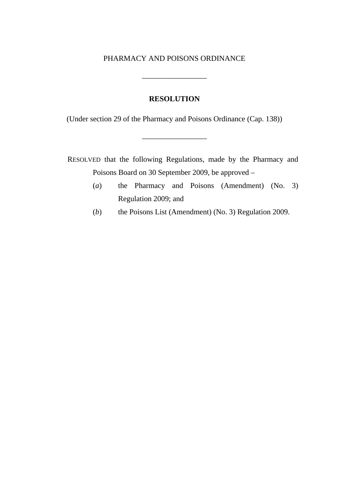# PHARMACY AND POISONS ORDINANCE

\_\_\_\_\_\_\_\_\_\_\_\_\_\_\_\_\_

#### **RESOLUTION**

(Under section 29 of the Pharmacy and Poisons Ordinance (Cap. 138))

\_\_\_\_\_\_\_\_\_\_\_\_\_\_\_\_\_

RESOLVED that the following Regulations, made by the Pharmacy and Poisons Board on 30 September 2009, be approved –

- (*a*) the Pharmacy and Poisons (Amendment) (No. 3) Regulation 2009; and
- (*b*) the Poisons List (Amendment) (No. 3) Regulation 2009.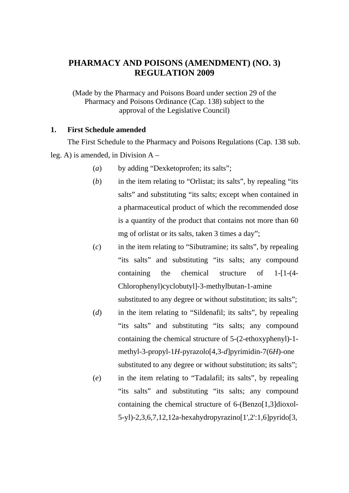# **PHARMACY AND POISONS (AMENDMENT) (NO. 3) REGULATION 2009**

(Made by the Pharmacy and Poisons Board under section 29 of the Pharmacy and Poisons Ordinance (Cap. 138) subject to the approval of the Legislative Council)

# **1. First Schedule amended**

The First Schedule to the Pharmacy and Poisons Regulations (Cap. 138 sub. leg. A) is amended, in Division A –

- (*a*) by adding "Dexketoprofen; its salts";
- (*b*) in the item relating to "Orlistat; its salts", by repealing "its salts" and substituting "its salts; except when contained in a pharmaceutical product of which the recommended dose is a quantity of the product that contains not more than 60 mg of orlistat or its salts, taken 3 times a day";
- (*c*) in the item relating to "Sibutramine; its salts", by repealing "its salts" and substituting "its salts; any compound containing the chemical structure of 1-[1-(4- Chlorophenyl)cyclobutyl]-3-methylbutan-1-amine

substituted to any degree or without substitution; its salts";

- (*d*) in the item relating to "Sildenafil; its salts", by repealing "its salts" and substituting "its salts; any compound containing the chemical structure of 5-(2-ethoxyphenyl)-1 methyl-3-propyl-1*H*-pyrazolo[4,3-*d*]pyrimidin-7(6*H*)-one substituted to any degree or without substitution; its salts";
- (*e*) in the item relating to "Tadalafil; its salts", by repealing "its salts" and substituting "its salts; any compound containing the chemical structure of 6-(Benzo[1,3]dioxol-5-yl)-2,3,6,7,12,12a-hexahydropyrazino[1',2':1,6]pyrido[3,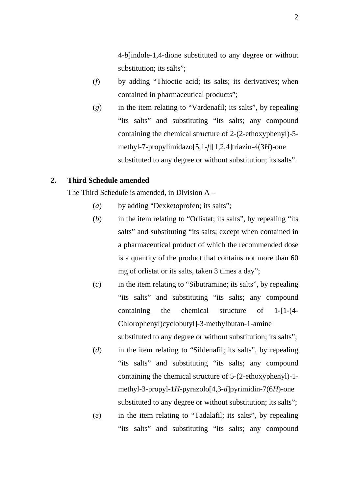4-*b*]indole-1,4-dione substituted to any degree or without substitution; its salts";

- (*f*) by adding "Thioctic acid; its salts; its derivatives; when contained in pharmaceutical products";
- (*g*) in the item relating to "Vardenafil; its salts", by repealing "its salts" and substituting "its salts; any compound containing the chemical structure of 2-(2-ethoxyphenyl)-5 methyl-7-propylimidazo[5,1-*f*][1,2,4]triazin-4(3*H*)-one substituted to any degree or without substitution; its salts".

# **2. Third Schedule amended**

The Third Schedule is amended, in Division A –

- (*a*) by adding "Dexketoprofen; its salts";
- (*b*) in the item relating to "Orlistat; its salts", by repealing "its salts" and substituting "its salts; except when contained in a pharmaceutical product of which the recommended dose is a quantity of the product that contains not more than 60 mg of orlistat or its salts, taken 3 times a day";
- (*c*) in the item relating to "Sibutramine; its salts", by repealing "its salts" and substituting "its salts; any compound containing the chemical structure of 1-[1-(4- Chlorophenyl)cyclobutyl]-3-methylbutan-1-amine substituted to any degree or without substitution; its salts";

(*d*) in the item relating to "Sildenafil; its salts", by repealing

- "its salts" and substituting "its salts; any compound containing the chemical structure of 5-(2-ethoxyphenyl)-1 methyl-3-propyl-1*H*-pyrazolo[4,3-*d*]pyrimidin-7(6*H*)-one substituted to any degree or without substitution; its salts"; (*e*) in the item relating to "Tadalafil; its salts", by repealing
	- "its salts" and substituting "its salts; any compound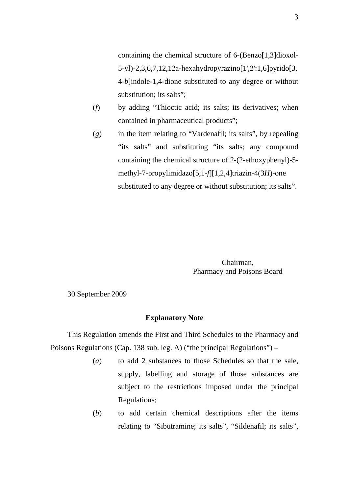containing the chemical structure of 6-(Benzo[1,3]dioxol-5-yl)-2,3,6,7,12,12a-hexahydropyrazino[1',2':1,6]pyrido[3, 4-*b*]indole-1,4-dione substituted to any degree or without substitution; its salts";

- (*f*) by adding "Thioctic acid; its salts; its derivatives; when contained in pharmaceutical products";
- (*g*) in the item relating to "Vardenafil; its salts", by repealing "its salts" and substituting "its salts; any compound containing the chemical structure of 2-(2-ethoxyphenyl)-5 methyl-7-propylimidazo[5,1-*f*][1,2,4]triazin-4(3*H*)-one substituted to any degree or without substitution; its salts".

Chairman, Pharmacy and Poisons Board

30 September 2009

# **Explanatory Note**

This Regulation amends the First and Third Schedules to the Pharmacy and Poisons Regulations (Cap. 138 sub. leg. A) ("the principal Regulations") –

- (*a*) to add 2 substances to those Schedules so that the sale, supply, labelling and storage of those substances are subject to the restrictions imposed under the principal Regulations;
- (*b*) to add certain chemical descriptions after the items relating to "Sibutramine; its salts", "Sildenafil; its salts",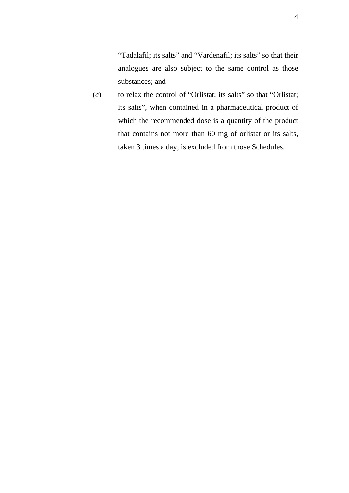"Tadalafil; its salts" and "Vardenafil; its salts" so that their analogues are also subject to the same control as those substances; and

(*c*) to relax the control of "Orlistat; its salts" so that "Orlistat; its salts", when contained in a pharmaceutical product of which the recommended dose is a quantity of the product that contains not more than 60 mg of orlistat or its salts, taken 3 times a day, is excluded from those Schedules.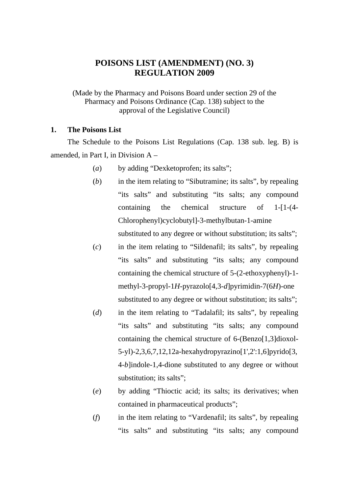# **POISONS LIST (AMENDMENT) (NO. 3) REGULATION 2009**

(Made by the Pharmacy and Poisons Board under section 29 of the Pharmacy and Poisons Ordinance (Cap. 138) subject to the approval of the Legislative Council)

## **1. The Poisons List**

The Schedule to the Poisons List Regulations (Cap. 138 sub. leg. B) is amended, in Part I, in Division A –

- (*a*) by adding "Dexketoprofen; its salts";
- (*b*) in the item relating to "Sibutramine; its salts", by repealing "its salts" and substituting "its salts; any compound containing the chemical structure of 1-[1-(4- Chlorophenyl)cyclobutyl]-3-methylbutan-1-amine

substituted to any degree or without substitution; its salts";

- (*c*) in the item relating to "Sildenafil; its salts", by repealing "its salts" and substituting "its salts; any compound containing the chemical structure of 5-(2-ethoxyphenyl)-1 methyl-3-propyl-1*H*-pyrazolo[4,3-*d*]pyrimidin-7(6*H*)-one substituted to any degree or without substitution; its salts";
- (*d*) in the item relating to "Tadalafil; its salts", by repealing "its salts" and substituting "its salts; any compound containing the chemical structure of 6-(Benzo[1,3]dioxol-5-yl)-2,3,6,7,12,12a-hexahydropyrazino[1',2':1,6]pyrido[3, 4-*b*]indole-1,4-dione substituted to any degree or without substitution; its salts";
- (*e*) by adding "Thioctic acid; its salts; its derivatives; when contained in pharmaceutical products";
- (*f*) in the item relating to "Vardenafil; its salts", by repealing "its salts" and substituting "its salts; any compound